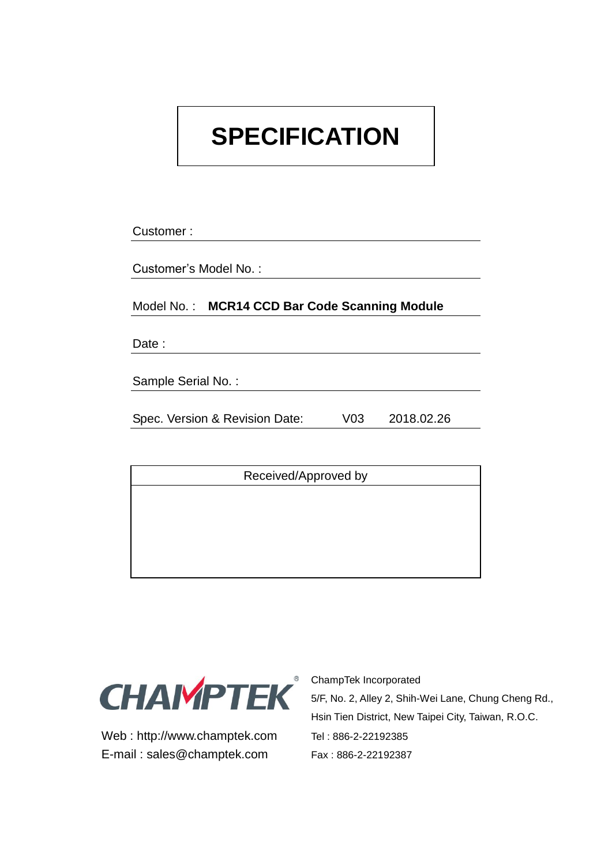# **SPECIFICATION**

Customer :

Customer's Model No. :

Model No. : **MCR14 CCD Bar Code Scanning Module**

Date:

Sample Serial No. :

Spec. Version & Revision Date: V03 2018.02.26

Received/Approved by



Web : http://www.champtek.com Tel : 886-2-22192385 E-mail : sales@champtek.com Fax : 886-2-22192387

**<sup>®</sup>** ChampTek Incorporated 5/F, No. 2, Alley 2, Shih-Wei Lane, Chung Cheng Rd., Hsin Tien District, New Taipei City, Taiwan, R.O.C.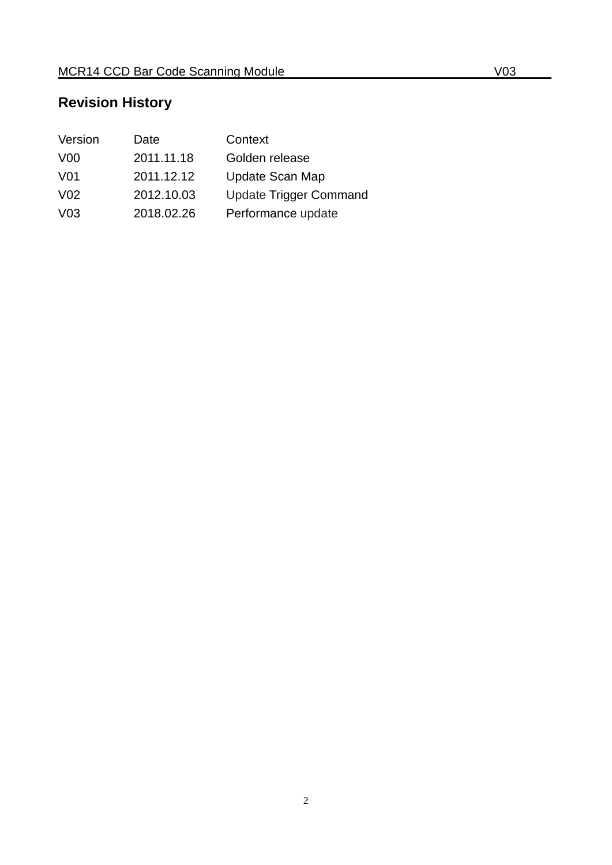# **Revision History**

| Version         | Date       | Context                       |
|-----------------|------------|-------------------------------|
| V <sub>00</sub> | 2011.11.18 | Golden release                |
| V01             | 2011.12.12 | Update Scan Map               |
| V <sub>02</sub> | 2012.10.03 | <b>Update Trigger Command</b> |
| V <sub>03</sub> | 2018.02.26 | Performance update            |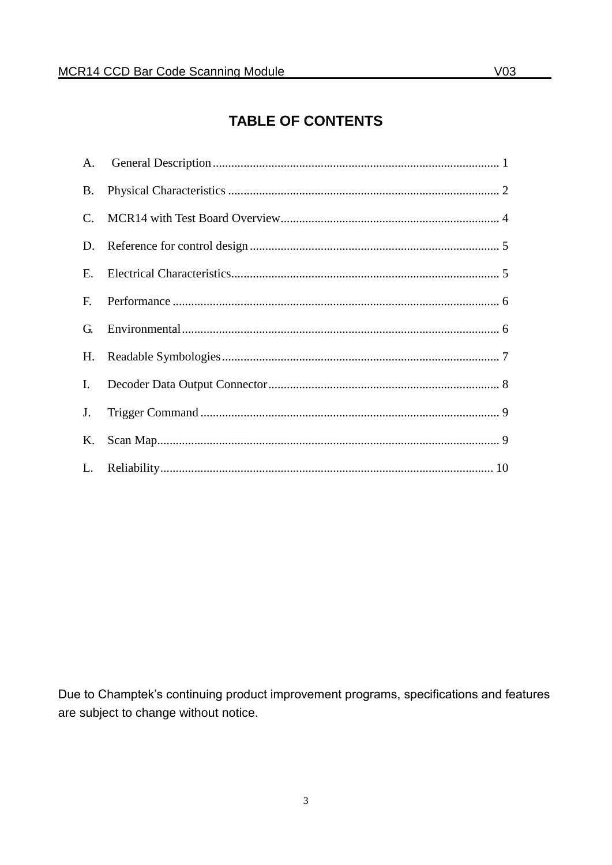## **TABLE OF CONTENTS**

| <b>B.</b>      |  |
|----------------|--|
| $\mathbf{C}$ . |  |
| D.             |  |
| Ε.             |  |
| F.             |  |
| G.             |  |
| H.             |  |
| Ι.             |  |
| J.             |  |
| Κ.             |  |
|                |  |

Due to Champtek's continuing product improvement programs, specifications and features are subject to change without notice.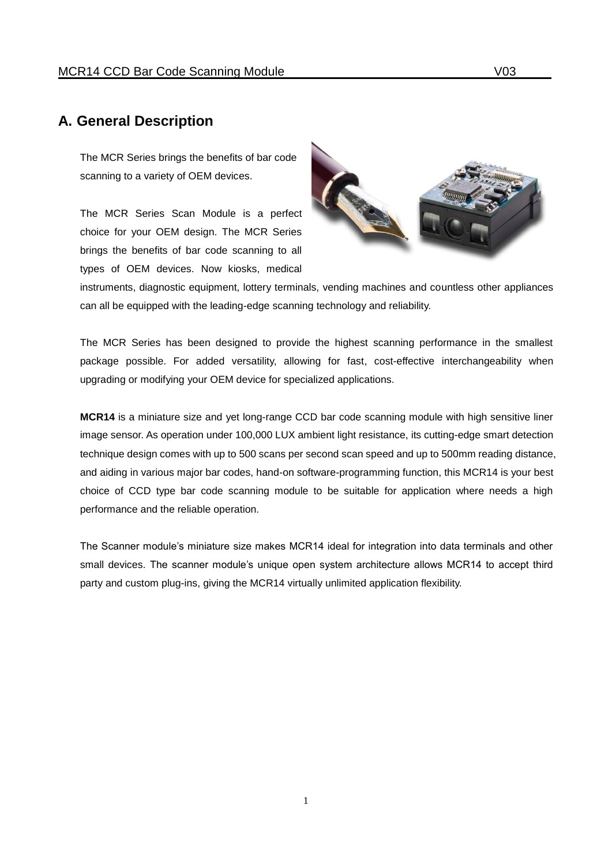#### <span id="page-3-0"></span>**A. General Description**

The MCR Series brings the benefits of bar code scanning to a variety of OEM devices.

The MCR Series Scan Module is a perfect choice for your OEM design. The MCR Series brings the benefits of bar code scanning to all types of OEM devices. Now kiosks, medical



instruments, diagnostic equipment, lottery terminals, vending machines and countless other appliances can all be equipped with the leading-edge scanning technology and reliability.

The MCR Series has been designed to provide the highest scanning performance in the smallest package possible. For added versatility, allowing for fast, cost-effective interchangeability when upgrading or modifying your OEM device for specialized applications.

**MCR14** is a miniature size and yet long-range CCD bar code scanning module with high sensitive liner image sensor. As operation under 100,000 LUX ambient light resistance, its cutting-edge smart detection technique design comes with up to 500 scans per second scan speed and up to 500mm reading distance, and aiding in various major bar codes, hand-on software-programming function, this MCR14 is your best choice of CCD type bar code scanning module to be suitable for application where needs a high performance and the reliable operation.

The Scanner module's miniature size makes MCR14 ideal for integration into data terminals and other small devices. The scanner module's unique open system architecture allows MCR14 to accept third party and custom plug-ins, giving the MCR14 virtually unlimited application flexibility.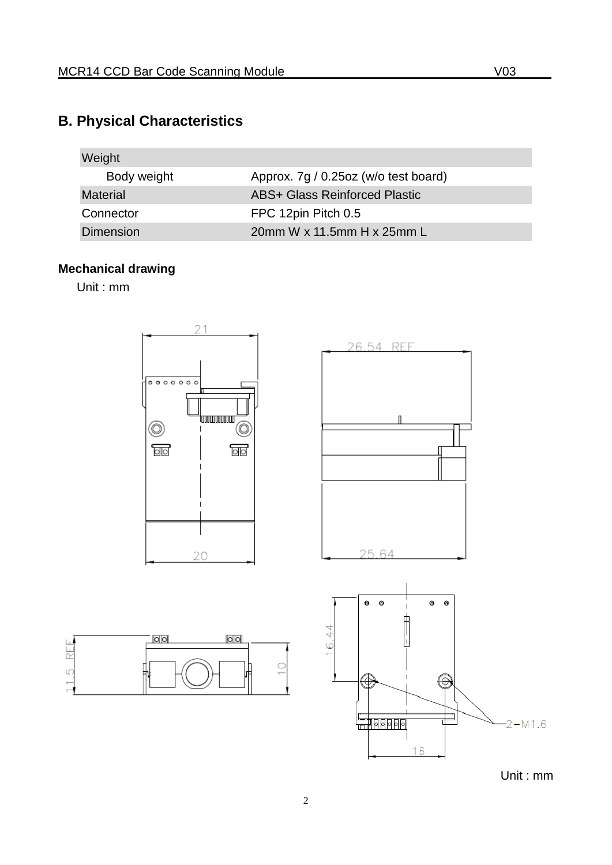# <span id="page-4-0"></span>**B. Physical Characteristics**

| Weight           |                                      |
|------------------|--------------------------------------|
| Body weight      | Approx. 7g / 0.25oz (w/o test board) |
| <b>Material</b>  | <b>ABS+ Glass Reinforced Plastic</b> |
| Connector        | FPC 12pin Pitch 0.5                  |
| <b>Dimension</b> | 20mm W x 11.5mm H x 25mm L           |

#### **Mechanical drawing**

Unit : mm

RFF

 $\overline{5}$ 

۲.



Unit : mm

2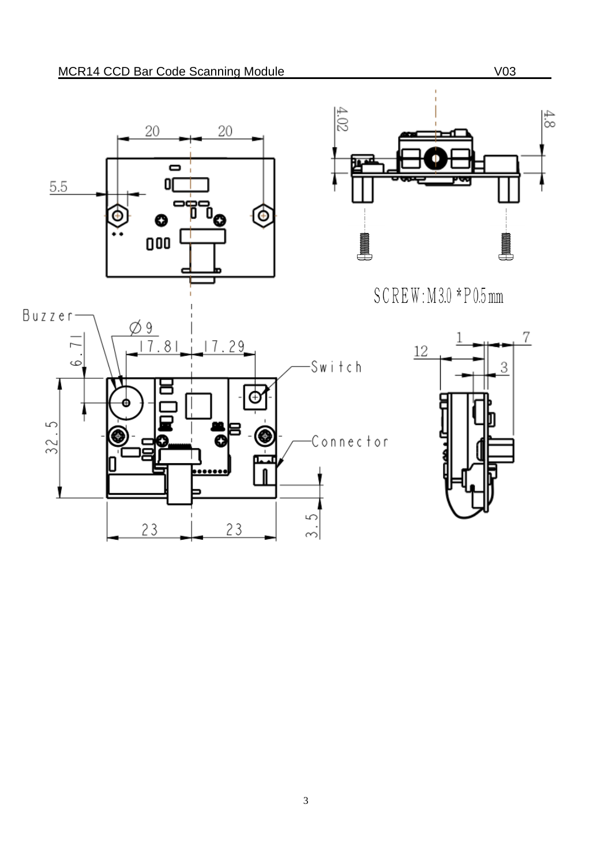



 $SCREW: M3.0 * P0.5mm$ 



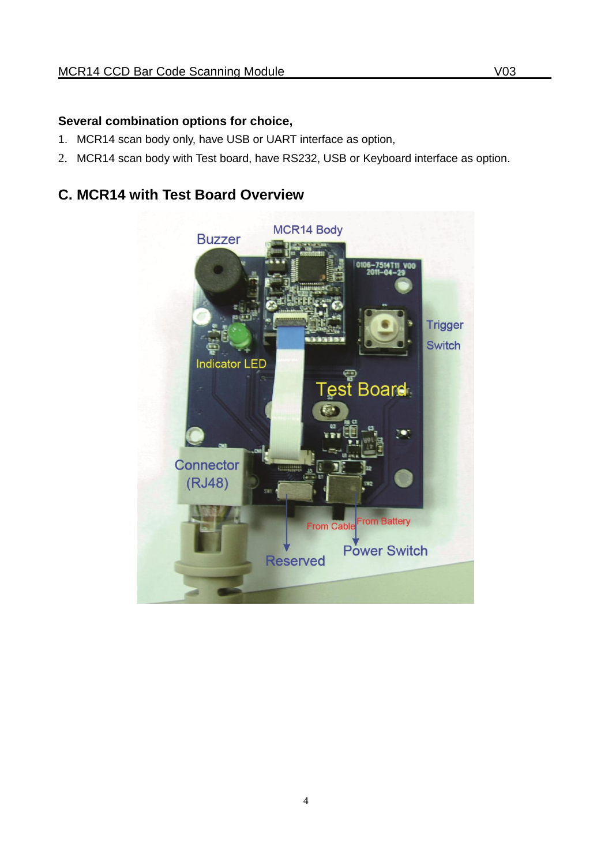#### **Several combination options for choice,**

- 1. MCR14 scan body only, have USB or UART interface as option,
- 2. MCR14 scan body with Test board, have RS232, USB or Keyboard interface as option.

## <span id="page-6-0"></span>**C. MCR14 with Test Board Overview**

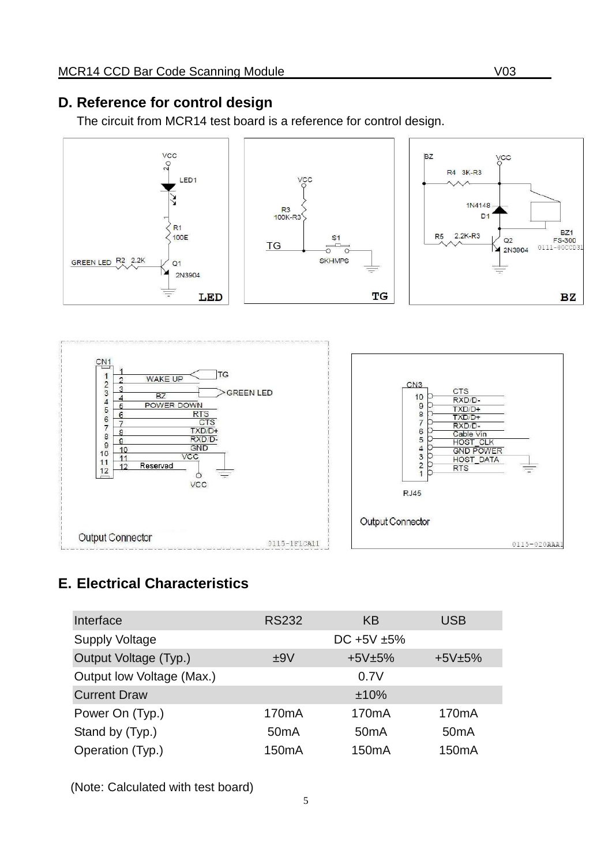#### <span id="page-7-0"></span>**D. Reference for control design**

The circuit from MCR14 test board is a reference for control design.



## <span id="page-7-1"></span>**E. Electrical Characteristics**

| Interface                 | <b>RS232</b>       | ΚB                 | <b>USB</b>         |
|---------------------------|--------------------|--------------------|--------------------|
| <b>Supply Voltage</b>     |                    | $DC + 5V + 5%$     |                    |
| Output Voltage (Typ.)     | ±9V                | $+5V±5%$           | $+5V±5%$           |
| Output low Voltage (Max.) |                    | 0.7V               |                    |
| <b>Current Draw</b>       |                    | ±10%               |                    |
| Power On (Typ.)           | 170 <sub>m</sub> A | 170 <sub>m</sub> A | 170 <sub>m</sub> A |
| Stand by (Typ.)           | 50 <sub>m</sub> A  | 50 <sub>m</sub> A  | 50 <sub>m</sub> A  |
| Operation (Typ.)          | 150 <sub>m</sub> A | 150 <sub>m</sub> A | 150 <sub>m</sub> A |

(Note: Calculated with test board)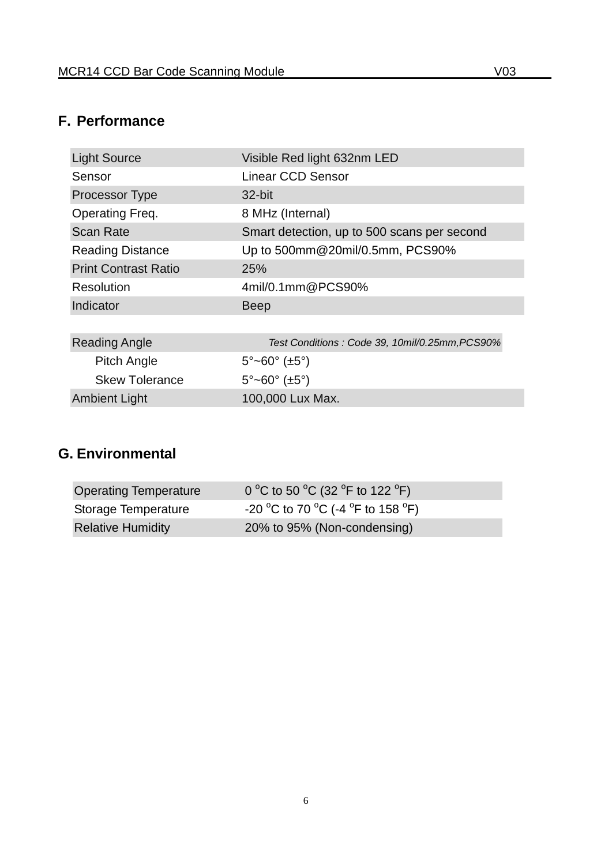## <span id="page-8-0"></span>**F. Performance**

| <b>Light Source</b>         | Visible Red light 632nm LED                    |
|-----------------------------|------------------------------------------------|
| Sensor                      | Linear CCD Sensor                              |
| <b>Processor Type</b>       | 32-bit                                         |
| Operating Freq.             | 8 MHz (Internal)                               |
| <b>Scan Rate</b>            | Smart detection, up to 500 scans per second    |
| <b>Reading Distance</b>     | Up to 500mm@20mil/0.5mm, PCS90%                |
| <b>Print Contrast Ratio</b> | 25%                                            |
| Resolution                  | 4mil/0.1mm@PCS90%                              |
| Indicator                   | <b>Beep</b>                                    |
|                             |                                                |
| <b>Reading Angle</b>        | Test Conditions: Code 39, 10mil/0.25mm, PCS90% |
| <b>Pitch Angle</b>          | $5^{\circ}$ ~60° (±5°)                         |
| <b>Skew Tolerance</b>       | $5^{\circ}$ ~60° (±5°)                         |
| <b>Ambient Light</b>        | 100,000 Lux Max.                               |

## <span id="page-8-1"></span>**G. Environmental**

| <b>Operating Temperature</b> | 0 °C to 50 °C (32 °F to 122 °F)   |
|------------------------------|-----------------------------------|
| Storage Temperature          | -20 °C to 70 °C (-4 °F to 158 °F) |
| <b>Relative Humidity</b>     | 20% to 95% (Non-condensing)       |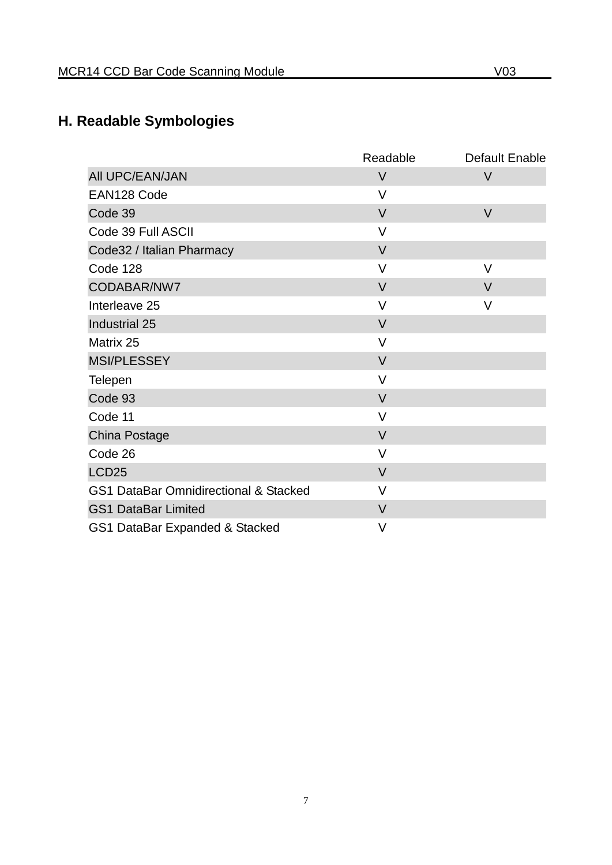# <span id="page-9-0"></span>**H. Readable Symbologies**

|                                       | Readable | <b>Default Enable</b> |
|---------------------------------------|----------|-----------------------|
| All UPC/EAN/JAN                       | $\vee$   | $\vee$                |
| EAN128 Code                           | $\vee$   |                       |
| Code 39                               | $\vee$   | $\vee$                |
| Code 39 Full ASCII                    | $\vee$   |                       |
| Code32 / Italian Pharmacy             | $\vee$   |                       |
| Code 128                              | V        | V                     |
| CODABAR/NW7                           | $\vee$   | V                     |
| Interleave 25                         | $\vee$   | V                     |
| Industrial 25                         | $\vee$   |                       |
| Matrix 25                             | $\vee$   |                       |
| <b>MSI/PLESSEY</b>                    | $\vee$   |                       |
| Telepen                               | $\vee$   |                       |
| Code 93                               | $\vee$   |                       |
| Code 11                               | $\vee$   |                       |
| China Postage                         | $\vee$   |                       |
| Code 26                               | $\vee$   |                       |
| LCD <sub>25</sub>                     | $\vee$   |                       |
| GS1 DataBar Omnidirectional & Stacked | $\vee$   |                       |
| <b>GS1 DataBar Limited</b>            | $\vee$   |                       |
| GS1 DataBar Expanded & Stacked        | V        |                       |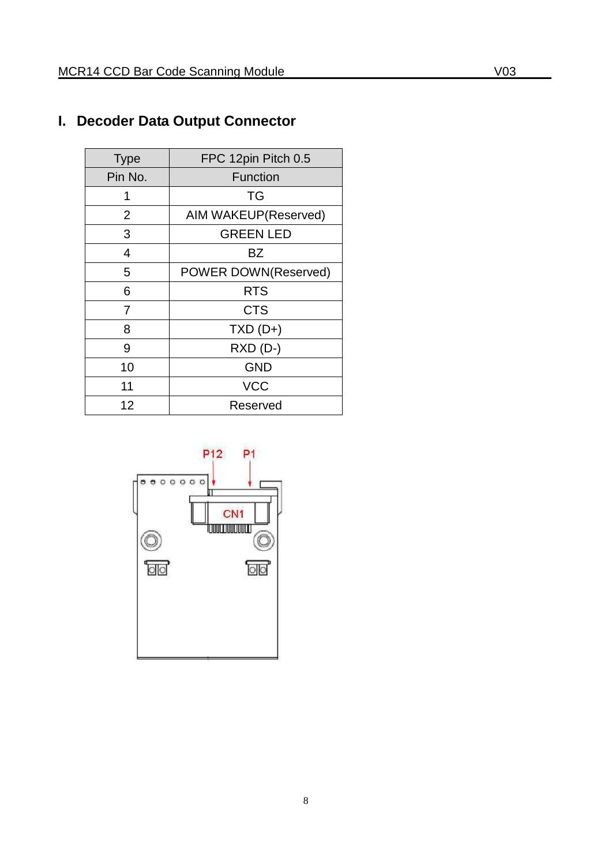## <span id="page-10-0"></span>**I. Decoder Data Output Connector**

| <b>Type</b> | FPC 12pin Pitch 0.5  |
|-------------|----------------------|
| Pin No.     | <b>Function</b>      |
| 1           | TG                   |
| 2           | AIM WAKEUP(Reserved) |
| 3           | <b>GREEN LED</b>     |
| 4           | BZ                   |
| 5           | POWER DOWN(Reserved) |
| 6           | <b>RTS</b>           |
| 7           | <b>CTS</b>           |
| 8           | $TXD(D+)$            |
| 9           | $RXD(D-)$            |
| 10          | <b>GND</b>           |
| 11          | <b>VCC</b>           |
| 12          | Reserved             |

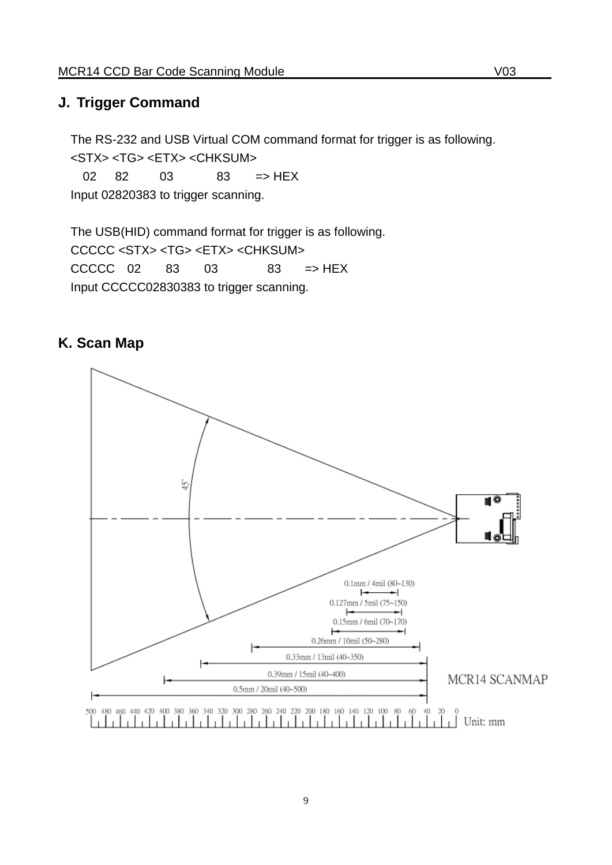#### <span id="page-11-0"></span>**J. Trigger Command**

The RS-232 and USB Virtual COM command format for trigger is as following. <STX> <TG> <ETX> <CHKSUM>

02 82 03 83 => HEX Input 02820383 to trigger scanning.

The USB(HID) command format for trigger is as following. CCCCC <STX> <TG> <ETX> <CHKSUM>  $CCCC 02 83 03 83 = HEX$ Input CCCCC02830383 to trigger scanning.

#### <span id="page-11-1"></span>**K. Scan Map**